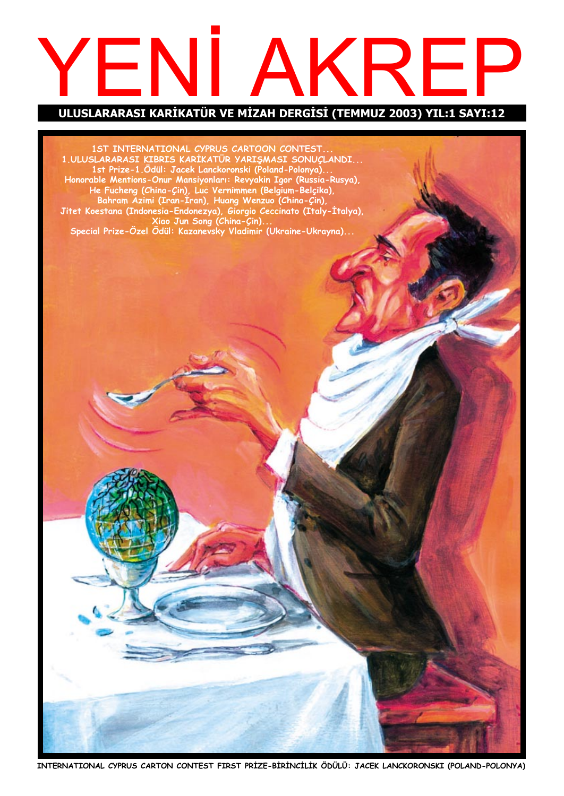# YENI AKREP

ULUSLARARASI KARİKATÜR VE MİZAH DERGİSİ (TEMMUZ 2003) YIL:1 SAYI:12

1ST INTERNATIONAL CYPRUS CARTOON CONTEST. 1.ULUSLARARASI KIBRIS KARIKATUR YARIŞMASI SONUÇLANDI... 1st Prize-1.Odül: Jacek Lanckoronski (Poland-Polonya)... Honorable Mentions-Onur Mansiyonları: Revyakin Igor (Russia-Rusya), He Fucheng (China-Çin), Luc Vernimmen (Belgium-Belçika), Bahram Azimi (Iran-Iran), Huang Wenzuo (China-Çin), Jitet Koestana (Indonesia-Endonezya), Giorgio Ceccinato (Italy-Italya), Xiao Jun Song (China-Çin)... Special Prize-Ozel Odül: Kazanevsky Vladimir (Ukraine-Ukrayna)...

INTERNATIONAL CYPRUS CARTON CONTEST FIRST PRİZE-BİRİNCİLİK ÖDÜLÜ: JACEK LANCKORONSKI (POLAND-POLONYA)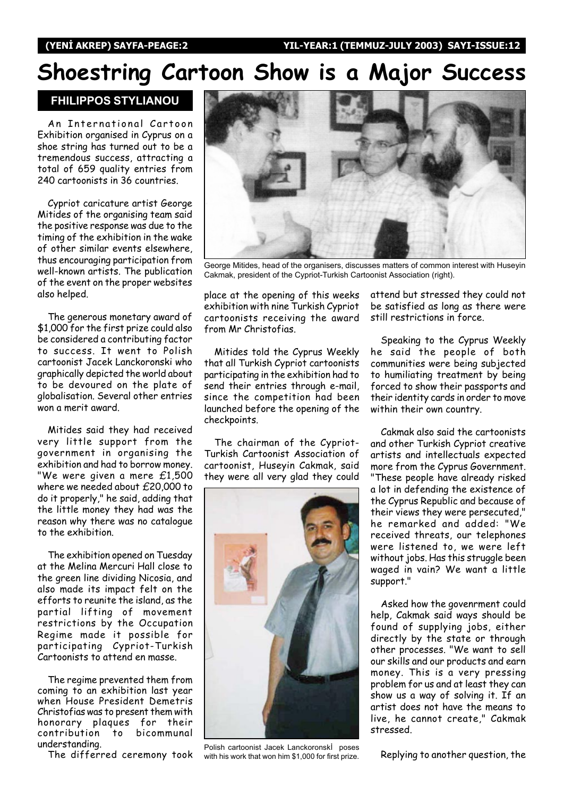## Shoestring Cartoon Show is a Major Success

FHILIPPOS STYLIANOU

An International Cartoon Exhibition organised in Cyprus on a shoe string has turned out to be a tremendous success, attracting a total of 659 quality entries from 240 cartoonists in 36 countries.

Cypriot caricature artist George Mitides of the organising team said the positive response was due to the timing of the exhibition in the wake of other similar events elsewhere, thus encouraging participation from well-known artists. The publication of the event on the proper websites also helped.

The generous monetary award of \$1,000 for the first prize could also be considered a contributing factor to success. It went to Polish cartoonist Jacek Lanckoronski who graphically depicted the world about to be devoured on the plate of globalisation. Several other entries won a merit award.

Mitides said they had received very little support from the government in organising the exhibition and had to borrow money. "We were given a mere £1,500 where we needed about £20,000 to do it properly," he said, adding that the little money they had was the reason why there was no catalogue to the exhibition.

The exhibition opened on Tuesday at the Melina Mercuri Hall close to the green line dividing Nicosia, and also made its impact felt on the efforts to reunite the island, as the partial lifting of movement restrictions by the Occupation Regime made it possible for participating Cypriot-Turkish Cartoonists to attend en masse.

The regime prevented them from coming to an exhibition last year when House President Demetris Christofias was to present them with honorary plaques for their to bicommunal understanding.

The differred ceremony took



George Mitides, head of the organisers, discusses matters of common interest with Huseyin Cakmak, president of the Cypriot-Turkish Cartoonist Association (right).

place at the opening of this weeks exhibition with nine Turkish Cypriot cartoonists receiving the award from Mr Christofias.

Mitides told the Cyprus Weekly that all Turkish Cypriot cartoonists participating in the exhibition had to send their entries through e-mail, since the competition had been launched before the opening of the checkpoints.

The chairman of the Cypriot-Turkish Cartoonist Association of cartoonist, Huseyin Cakmak, said they were all very glad they could



Polish cartoonist Jacek Lanckoronski poses with his work that won him \$1,000 for first prize.

attend but stressed they could not be satisfied as long as there were still restrictions in force.

Speaking to the Cyprus Weekly he said the people of both communities were being subjected to humiliating treatment by being forced to show their passports and their identity cards in order to move within their own country.

Cakmak also said the cartoonists and other Turkish Cypriot creative artists and intellectuals expected more from the Cyprus Government. "These people have already risked a lot in defending the existence of the Cyprus Republic and because of their views they were persecuted," he remarked and added: "We received threats, our telephones were listened to, we were left without jobs. Has this struggle been waged in vain? We want a little support."

Asked how the govenrment could help, Cakmak said ways should be found of supplying jobs, either directly by the state or through other processes. "We want to sell our skills and our products and earn money. This is a very pressing problem for us and at least they can show us a way of solving it. If an artist does not have the means to live, he cannot create," Cakmak stressed.

Replying to another question, the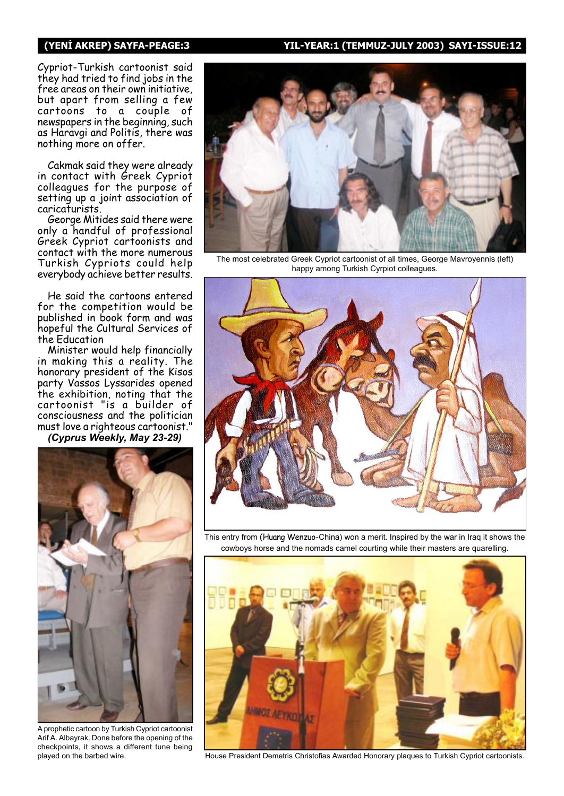#### (YENİ AKREP) SAYFA-PEAGE:3 YIL-YEAR:1 (TEMMUZ-JULY 2003) SAYI-ISSUE:12

Cypriot-Turkish cartoonist said they had tried to find jobs in the free areas on their own initiative, but apart from selling a few cartoons to a couple of newspapers in the beginning, such as Haravgi and Politis, there was nothing more on offer.

Cakmak said they were already in contact with Greek Cypriot colleagues for the purpose of setting up a joint association of caricaturists.

George Mitides said there were only a handful of professional Greek Cypriot cartoonists and contact with the more numerous Turkish Cypriots could help everybody achieve better results.

He said the cartoons entered for the competition would be published in book form and was hopeful the Cultural Services of the Education

Minister would help financially in making this a reality. The honorary president of the Kisos party Vassos Lyssarides opened the exhibition, noting that the cartoonist "is a builder of consciousness and the politician must love a righteous cartoonist."

(Cyprus Weekly, May 23-29)



A prophetic cartoon by Turkish Cypriot cartoonist Arif A. Albayrak. Done before the opening of the checkpoints, it shows a different tune being played on the barbed wire.



The most celebrated Greek Cypriot cartoonist of all times, George Mavroyennis (left) happy among Turkish Cyrpiot colleagues.



This entry from (Huang Wenzuo-China) won a merit. Inspired by the war in Iraq it shows the cowboys horse and the nomads camel courting while their masters are quarelling.



House President Demetris Christofias Awarded Honorary plaques to Turkish Cypriot cartoonists.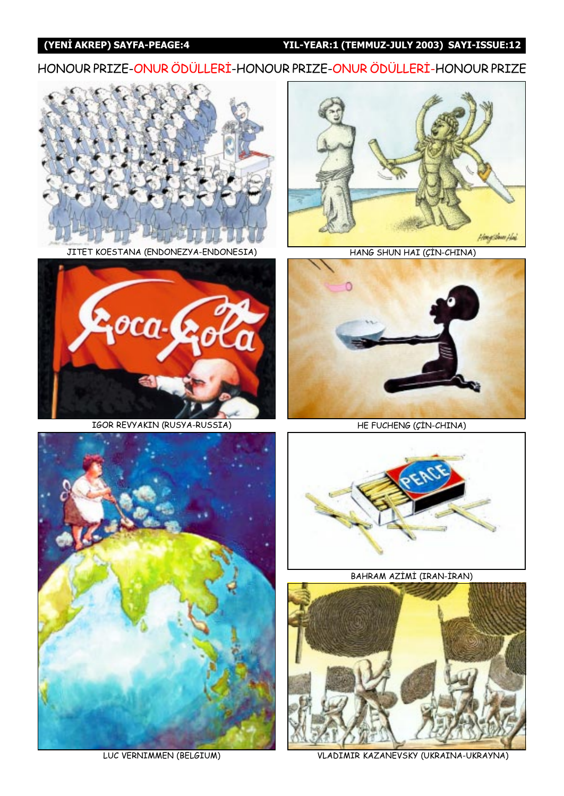#### (YENİ AKREP) SAYFA-PEAGE:4 YIL-YEAR:1 (TEMMUZ-JULY 2003) SAYI-ISSUE:12

HONOUR PRIZE-ONUR ÖDÜLLERİ-HONOUR PRIZE-ONUR ÖDÜLLERİ-HONOUR PRIZE



JITET KOESTANA (ENDONEZYA-ENDONESIA)



HANG SHUN HAI (ÇİN-CHINA)



IGOR REVYAKIN (RUSYA-RUSSIA)



HE FUCHENG (ÇİN-CHINA)



LUC VERNIMMEN (BELGIUM)



BAHRAM AZİMİ (IRAN-İRAN)



VLADIMIR KAZANEVSKY (UKRAINA-UKRAYNA)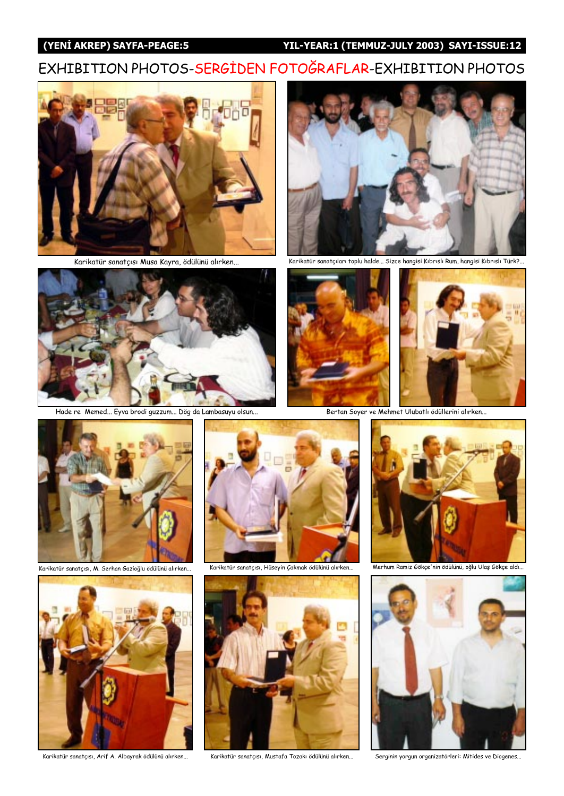#### (YENİ AKREP) SAYFA-PEAGE:5 YIL-YEAR:1 (TEMMUZ-JULY 2003) SAYI-ISSUE:12

#### EXHIBITION PHOTOS-SERGIDEN FOTOĞRAFLAR-EXHIBITION PHOTOS





Hade re Memed... Eyva brodi guzzum... Dög da Lambasuyu olsun... Bertan Soyer ve Mehmet Ulubatlı ödüllerini alırken...



Karikatür sanatçısı Musa Kayra, ödülünü alırken... Karikatür sanatçıları toplu halde... Sizce hangisi Kıbrıslı Rum, hangisi Kıbrıslı Türk?...







karikatür sanatçısı, M. Serhan Gazioğlu ödülünü alırken...







Karikatür sanatçısı, Hüseyin Çakmak ödülünü alırken... Merhum Ramiz Gökçe'nin ödülünü, oğlu Ulaş Gökçe aldı...



Serginin yorgun organizatörleri: Mitides ve Diogenes...



Karikatür sanatçısı, Arif A. Albayrak ödülünü alırken... Karikatür sanatçısı, Mustafa Tozakı ödülünü alırken...

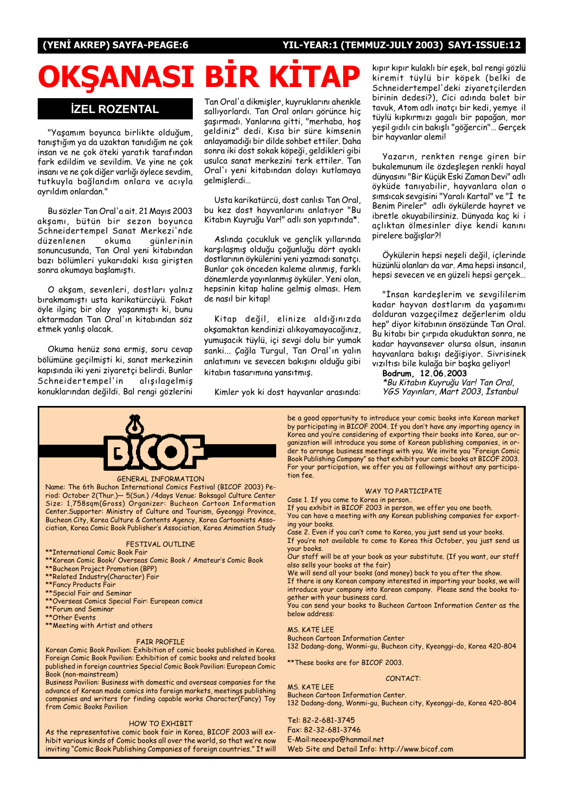#### (YENİ AKREP) SAYFA-PEAGE:6 YIL-YEAR:1 (TEMMUZ-JULY 2003) SAYI-ISSUE:12

## OKŞANASI BİR KİTA

#### **İZEL ROZENTAL**

"Yaşamım boyunca birlikte olduğum, tanıştığım ya da uzaktan tanıdığım ne çok insan ve ne çok öteki yaratık tarafından fark edildim ve sevildim. Ve vine ne cok insanı ve ne çok diğer varlığı öylece sevdim, tutkuyla bağlandım onlara ve acıyla ayrıldım onlardan."

Bu sözler Tan Oral'a ait. 21 Mayıs 2003 akşamı, bütün bir sezon boyunca Schneidertempel Sanat Merkezi'nde<br>düzenlenen okuma günlerinin düzenlenen okuma sonuncusunda, Tan Oral yeni kitabından bazı bölümleri yukarıdaki kısa giristen sonra okumaya başlamıştı.

O akşam, sevenleri, dostları yalnız bırakmamıştı usta karikatürcüyü. Fakat öyle ilginç bir olay yaşanmıştı ki, bunu aktarmadan Tan Oral'ın kitabından söz etmek yanlış olacak.

Okuma henüz sona ermiş, soru cevap bölümüne geçilmişti ki, sanat merkezinin kapısında iki yeni ziyaretçi belirdi. Bunlar Schneidertempel'in alisilagelmis konuklarından değildi. Bal rengi gözlerini

Tan Oral'a dikmişler, kuyruklarını ahenkle sallıvorlardı. Tan Oral onları görünce hic şaşırmadı. Yanlarına gitti, "merhaba, hoş geldiniz" dedi. Kısa bir süre kimsenin anlayamadığı bir dilde sohbet ettiler. Daha sonra iki dost sokak köpeği, geldikleri gibi usulca sanat merkezini terk ettiler. Tan Oral'ı yeni kitabından dolayı kutlamaya gelmislerdi...

Usta karikatürcü, dost canlısı Tan Oral, bu kez dost hayvanlarını anlatıyor "Bu Kitabın Kuyruğu Var!" adlı son yapıtında\*.

Aslında çocukluk ve gençlik yıllarında karşılaşmış olduğu çoğunluğu dört ayaklı dostlarının öykülerini yeni yazmadı sanatçı. Bunlar çok önceden kaleme alınmış, farklı dönemlerde yayınlanmış öyküler. Yeni olan, hepsinin kitap haline gelmiş olması. Hem de nasıl bir kitap!

Kitap değil, elinize aldığınızda okşamaktan kendinizi alıkoyamayacağınız, yumuşacık tüylü, içi sevgi dolu bir yumak sanki... Çağla Turgul, Tan Oral'ın yalın anlatımını ve sevecen bakışını olduğu gibi kitabın tasarımına yansıtmış.

Kimler yok ki dost hayvanlar arasında:

kıpır kıpır kulaklı bir eşek, bal rengi gözlü kiremit tüylü bir köpek (belki de Schneidertempel'deki ziyaretçilerden birinin dedesi?), Cici adında balet bir tavuk, Atom adlı inatçı bir kedi, yemye il tüylü kıpkırmızı gagalı bir papağan, mor yeşil gıdılı cin bakışlı "göğercin"... Gerçek bir hayvanlar alemi!

Yazarın, renkten renge giren bir bukalemunum ile özdeşleşen renkli hayal dünyasını "Bir Küçük Eski Zaman Devi" adlı öyküde tanıyabilir, hayvanlara olan o sımsıcak sevgisini "Yaralı Kartal" ve "İ te Benim Pireler" adlı öykülerde hayret ve ibretle okuyabilirsiniz. Dünyada kaç ki i açlıktan ölmesinler diye kendi kanını pirelere bağışlar?!

Öykülerin hepsi neşeli değil, içlerinde hüzünlü olanları da var. Ama hepsi insancıl, hepsi sevecen ve en güzeli hepsi gerçek...

"İnsan kardeslerim ve sevgililerim kadar hayvan dostlarım da yaşamımı dolduran vazgeçilmez değerlerim oldu hep" diyor kitabının önsözünde Tan Oral. Bu kitabı bir çırpıda okuduktan sonra, ne kadar hayvansever olursa olsun, insanın hayvanlara bakışı değişiyor. Sivrisinek vızıltısı bile kulağa bir başka geliyor!

Bodrum, 12.06.2003 \*Bu Kitabın Kuyruğu Var! Tan Oral, YGS Yayınları, Mart 2003, İstanbul



#### GENERAL INFORMATION

Name: The 6th Buchon International Comics Festival (BICOF 2003) Period: October 2(Thur.)- 5(Sun.) /4days Venue: Boksagol Culture Center Size: 1,758sqm(Gross) Organizer: Bucheon Cartoon Information Center.Supporter: Ministry of Culture and Tourism, Gyeonggi Province, Bucheon City, Korea Culture & Contents Agency, Korea Cartoonists Association, Korea Comic Book Publisherís Association, Korea Animation Study

#### FESTIVAL OUTLINE

- \*\*International Comic Book Fair
- \*\*Korean Comic Book/ Overseas Comic Book / Amateur's Comic Book
- \*\*Bucheon Project Promotion (BPP) \*\*Related Industry(Character) Fair
- 
- \*\*Fancy Products Fair \*\*Special Fair and Seminar
- \*\*Overseas Comics Special Fair: European comics
- \*\*Forum and Seminar
- \*\*Other Events
- \*\*Meeting with Artist and others

#### FAIR PROFILE

Korean Comic Book Pavilion: Exhibition of comic books published in Korea. Foreign Comic Book Pavilion: Exhibition of comic books and related books published in foreign countries Special Comic Book Pavilion: European Comic Book (non-mainstream)

Business Pavilion: Business with domestic and overseas companies for the advance of Korean made comics into foreign markets, meetings publishing companies and writers for finding capable works Character(Fancy) Toy from Comic Books Pavilion

#### HOW TO EXHIBIT

As the representative comic book fair in Korea, BICOF 2003 will exhibit various kinds of Comic books all over the world, so that we're now inviting "Comic Book Publishing Companies of foreign countries." It will be a good opportunity to introduce your comic books into Korean market by participating in BICOF 2004. If you don't have any importing agency in Korea and you're considering of exporting their books into Korea, our organization will introduce you some of Korean publishing companies, in order to arrange business meetings with you. We invite you "Foreign Comic Book Publishing Company" so that exhibit your comic books at BICOF 2003. For your participation, we offer you as followings without any participation fee.

#### WAY TO PARTICIPATE

Case 1. If you come to Korea in person..

If you exhibit in BICOF 2003 in person, we offer you one booth. You can have a meeting with any Korean publishing companies for exporting your books.

Case 2. Even if you canít come to Korea, you just send us your books. If youíre not available to come to Korea this October, you just send us

your books. Our staff will be at your book as your substitute. (If you want, our staff also sells your books at the fair)

We will send all your books (and money) back to you after the show.

If there is any Korean company interested in importing your books, we will introduce your company into Korean company. Please send the books together with your business card.

You can send your books to Bucheon Cartoon Information Center as the below address:

#### MS. KATE LEE

MS. KATE LEE

Bucheon Cartoon Information Center 132 Dodang-dong, Wonmi-gu, Bucheon city, Kyeonggi-do, Korea 420-804

\*\*These books are for BICOF 2003.

CONTACT:

Bucheon Cartoon Information Center. 132 Dodang-dong, Wonmi-gu, Bucheon city, Kyeonggi-do, Korea 420-804

Tel: 82-2-681-3745 Fax: 82-32-681-3746 E-Mail:neoexpo@hanmail.net Web Site and Detail Info: http://www.bicof.com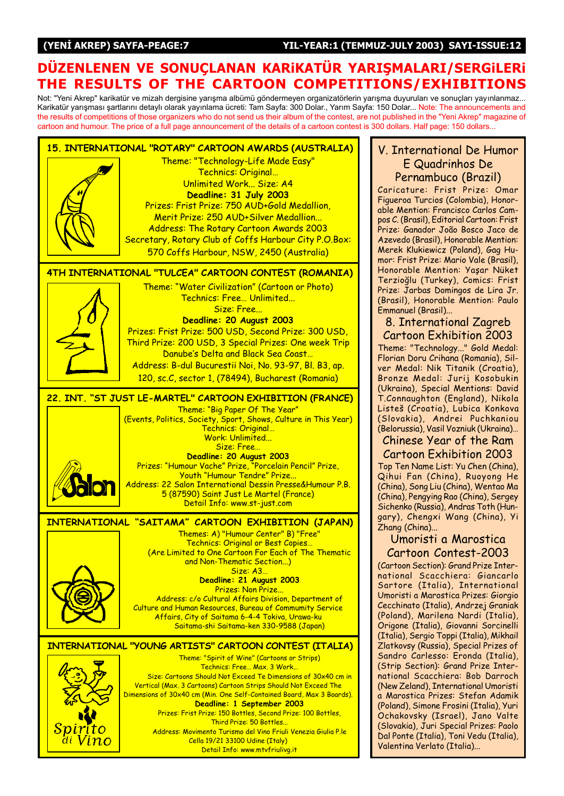#### DÜZENLENEN VE SONUÇLANAN KARIKATÜR YARIŞMALARI/SERGILERI THE RESULTS OF THE CARTOON COMPETITIONS/EXHIBITIONS

Not: "Yeni Akrep" karikatür ve mizah dergisine yarışma albümü göndermeyen organizatörlerin yarışma duyuruları ve sonuçları yayınlanmaz... Karikatür yarışması şartlarını detaylı olarak yayınlama ücreti: Tam Sayfa: 300 Dolar., Yarım Sayfa: 150 Dolar... Note: The announcements and the results of competitions of those organizers who do not send us their album of the contest, are not published in the "Yeni Akrep" magazine of cartoon and humour. The price of a full page announcement of the details of a cartoon contest is 300 dollars. Half page: 150 dollars...



#### V. International De Humor E Quadrinhos De Pernambuco (Brazil)

Caricature: Frist Prize: Omar Figueroa Turcios (Colombia), Honorable Mention: Francisco Carlos Campos C. (Brasil), Editorial Cartoon: Frist Prize: Ganador João Bosco Jaco de Azevedo (Brasil), Honorable Mention: Merek Klukiewicz (Poland), Gag Humor: Frist Prize: Mario Vale (Brasil), Honorable Mention: Yaşar Nüket Terzioðlu (Turkey), Comics: Frist Prize: Jarbas Domingos de Lira Jr. (Brasil), Honorable Mention: Paulo Emmanuel (Brasil)...

#### 8. International Zagreb Cartoon Exhibition 2003

Theme: "Technology..." Gold Medal: Florian Doru Crihana (Romania), Silver Medal: Nik Titanik (Croatia), Bronze Medal: Jurij Kosobukin (Ukraina), Special Mentions: David T.Connaughton (England), Nikola Listeö (Croatia), Lubica Konkova (Slovakia), Andrei Puchkaniou (Belorussia), Vasil Vozniuk (Ukraina)...

Chinese Year of the Ram Cartoon Exhibition 2003 Top Ten Name List: Yu Chen (China), Qihui Fan (China), Ruoyong He (China), Song Liu (China), Wentao Ma (China), Pengying Rao (China), Sergey Sichenko (Russia), Andras Toth (Hungary), Chengxi Wang (China), Yi Zhang (China)...

#### Umoristi a Marostica Cartoon Contest-2003

(Cartoon Section): Grand Prize International Scacchiera: Giancarlo Sartore (Italia), International Umoristi a Marostica Prizes: Giorgio Cecchinato (Italia), Andrzej Graniak (Poland), Marilena Nardi (Italia), Origone (Italia), Giovanni Sorcinelli (Italia), Sergio Toppi (Italia), Mikhail Zlatkovsy (Russia), Special Prizes of Sandro Carlesso: Eronda (Italia), (Strip Section): Grand Prize International Scacchiera: Bob Darroch (New Zeland), International Umoristi a Marostica Prizes: Stefan Adamik (Poland), Simone Frosini (Italia), Yuri Ochakovsky (Israel), Jano Valte (Slovakia), Juri Special Prizes: Paolo Dal Ponte (Italia), Toni Vedu (Italia), Valentina Verlato (Italia)...